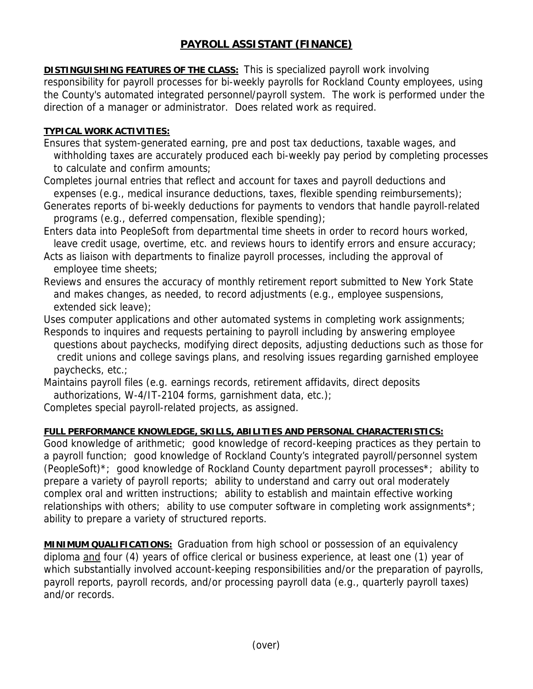## **PAYROLL ASSISTANT (FINANCE)**

**DISTINGUISHING FEATURES OF THE CLASS:** This is specialized payroll work involving responsibility for payroll processes for bi-weekly payrolls for Rockland County employees, using the County's automated integrated personnel/payroll system. The work is performed under the direction of a manager or administrator. Does related work as required.

## **TYPICAL WORK ACTIVITIES:**

- Ensures that system-generated earning, pre and post tax deductions, taxable wages, and withholding taxes are accurately produced each bi-weekly pay period by completing processes to calculate and confirm amounts;
- Completes journal entries that reflect and account for taxes and payroll deductions and expenses (e.g., medical insurance deductions, taxes, flexible spending reimbursements);
- Generates reports of bi-weekly deductions for payments to vendors that handle payroll-related programs (e.g., deferred compensation, flexible spending);
- Enters data into PeopleSoft from departmental time sheets in order to record hours worked, leave credit usage, overtime, etc. and reviews hours to identify errors and ensure accuracy;
- Acts as liaison with departments to finalize payroll processes, including the approval of employee time sheets;
- Reviews and ensures the accuracy of monthly retirement report submitted to New York State and makes changes, as needed, to record adjustments (e.g., employee suspensions, extended sick leave);
- Uses computer applications and other automated systems in completing work assignments;
- Responds to inquires and requests pertaining to payroll including by answering employee questions about paychecks, modifying direct deposits, adjusting deductions such as those for credit unions and college savings plans, and resolving issues regarding garnished employee paychecks, etc.;
- Maintains payroll files (e.g. earnings records, retirement affidavits, direct deposits authorizations, W-4/IT-2104 forms, garnishment data, etc.);
- Completes special payroll-related projects, as assigned.

## **FULL PERFORMANCE KNOWLEDGE, SKILLS, ABILITIES AND PERSONAL CHARACTERISTICS:**

Good knowledge of arithmetic; good knowledge of record-keeping practices as they pertain to a payroll function; good knowledge of Rockland County's integrated payroll/personnel system (PeopleSoft)\*; good knowledge of Rockland County department payroll processes\*; ability to prepare a variety of payroll reports; ability to understand and carry out oral moderately complex oral and written instructions; ability to establish and maintain effective working relationships with others; ability to use computer software in completing work assignments<sup>\*</sup>; ability to prepare a variety of structured reports.

**MINIMUM QUALIFICATIONS:** Graduation from high school or possession of an equivalency diploma and four (4) years of office clerical or business experience, at least one (1) year of which substantially involved account-keeping responsibilities and/or the preparation of payrolls, payroll reports, payroll records, and/or processing payroll data (e.g., quarterly payroll taxes) and/or records.